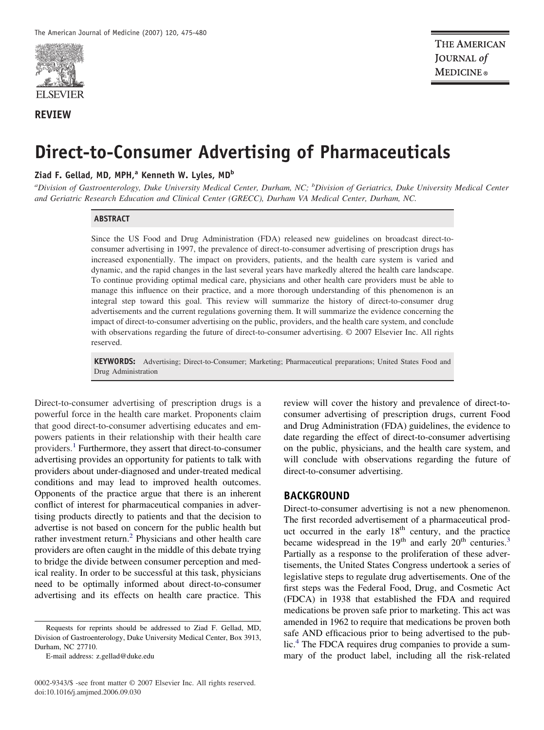

#### **REVIEW**

# **Direct-to-Consumer Advertising of Pharmaceuticals**

#### **Ziad F. Gellad, MD, MPH,<sup>a</sup> Kenneth W. Lyles, MD<sup>b</sup>**

*a Division of Gastroenterology, Duke University Medical Center, Durham, NC; <sup>b</sup> Division of Geriatrics, Duke University Medical Center and Geriatric Research Education and Clinical Center (GRECC), Durham VA Medical Center, Durham, NC.*

#### **ABSTRACT**

Since the US Food and Drug Administration (FDA) released new guidelines on broadcast direct-toconsumer advertising in 1997, the prevalence of direct-to-consumer advertising of prescription drugs has increased exponentially. The impact on providers, patients, and the health care system is varied and dynamic, and the rapid changes in the last several years have markedly altered the health care landscape. To continue providing optimal medical care, physicians and other health care providers must be able to manage this influence on their practice, and a more thorough understanding of this phenomenon is an integral step toward this goal. This review will summarize the history of direct-to-consumer drug advertisements and the current regulations governing them. It will summarize the evidence concerning the impact of direct-to-consumer advertising on the public, providers, and the health care system, and conclude with observations regarding the future of direct-to-consumer advertising. © 2007 Elsevier Inc. All rights reserved.

**KEYWORDS:** Advertising; Direct-to-Consumer; Marketing; Pharmaceutical preparations; United States Food and Drug Administration

Direct-to-consumer advertising of prescription drugs is a powerful force in the health care market. Proponents claim that good direct-to-consumer advertising educates and empowers patients in their relationship with their health care providers.<sup>[1](#page-4-0)</sup> Furthermore, they assert that direct-to-consumer advertising provides an opportunity for patients to talk with providers about under-diagnosed and under-treated medical conditions and may lead to improved health outcomes. Opponents of the practice argue that there is an inherent conflict of interest for pharmaceutical companies in advertising products directly to patients and that the decision to advertise is not based on concern for the public health but rather investment return.<sup>[2](#page-4-0)</sup> Physicians and other health care providers are often caught in the middle of this debate trying to bridge the divide between consumer perception and medical reality. In order to be successful at this task, physicians need to be optimally informed about direct-to-consumer advertising and its effects on health care practice. This review will cover the history and prevalence of direct-toconsumer advertising of prescription drugs, current Food and Drug Administration (FDA) guidelines, the evidence to date regarding the effect of direct-to-consumer advertising on the public, physicians, and the health care system, and will conclude with observations regarding the future of direct-to-consumer advertising.

#### **BACKGROUND**

Direct-to-consumer advertising is not a new phenomenon. The first recorded advertisement of a pharmaceutical product occurred in the early 18<sup>th</sup> century, and the practice became widespread in the 19<sup>th</sup> and early 20<sup>th</sup> centuries.<sup>[3](#page-4-0)</sup> Partially as a response to the proliferation of these advertisements, the United States Congress undertook a series of legislative steps to regulate drug advertisements. One of the first steps was the Federal Food, Drug, and Cosmetic Act (FDCA) in 1938 that established the FDA and required medications be proven safe prior to marketing. This act was amended in 1962 to require that medications be proven both safe AND efficacious prior to being advertised to the pub-lic.<sup>[4](#page-4-0)</sup> The FDCA requires drug companies to provide a summary of the product label, including all the risk-related

Requests for reprints should be addressed to Ziad F. Gellad, MD, Division of Gastroenterology, Duke University Medical Center, Box 3913, Durham, NC 27710.

E-mail address: z.gellad@duke.edu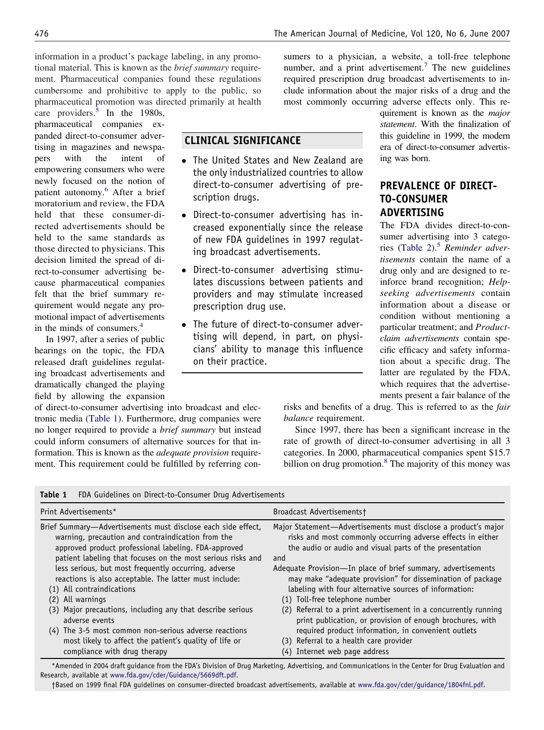information in a product's package labeling, in any promotional material. This is known as the *brief summary* requirement. Pharmaceutical companies found these regulations cumbersome and prohibitive to apply to the public, so pharmaceutical promotion was directed primarily at health

care providers.<sup>[5](#page-4-0)</sup> In the 1980s, pharmaceutical companies expanded direct-to-consumer advertising in magazines and newspapers with the intent of empowering consumers who were newly focused on the notion of patient autonomy.<sup>[6](#page-4-0)</sup> After a brief moratorium and review, the FDA held that these consumer-directed advertisements should be held to the same standards as those directed to physicians. This decision limited the spread of direct-to-consumer advertising because pharmaceutical companies felt that the brief summary requirement would negate any promotional impact of advertisements in the minds of consumers.[4](#page-4-0)

In 1997, after a series of public hearings on the topic, the FDA released draft guidelines regulating broadcast advertisements and dramatically changed the playing field by allowing the expansion

of direct-to-consumer advertising into broadcast and electronic media (Table 1). Furthermore, drug companies were no longer required to provide a *brief summary* but instead could inform consumers of alternative sources for that information. This is known as the *adequate provision* requirement. This requirement could be fulfilled by referring con-

sumers to a physician, a website, a toll-free telephone number, and a print advertisement.<sup>[7](#page-4-0)</sup> The new guidelines required prescription drug broadcast advertisements to include information about the major risks of a drug and the most commonly occurring adverse effects only. This re-

# **CLINICAL SIGNIFICANCE**

- The United States and New Zealand are the only industrialized countries to allow direct-to-consumer advertising of prescription drugs.
- Direct-to-consumer advertising has increased exponentially since the release of new FDA guidelines in 1997 regulating broadcast advertisements.
- Direct-to-consumer advertising stimulates discussions between patients and providers and may stimulate increased prescription drug use.
- The future of direct-to-consumer advertising will depend, in part, on physicians' ability to manage this influence on their practice.

quirement is known as the *major statement*. With the finalization of this guideline in 1999, the modern era of direct-to-consumer advertising was born.

# **PREVALENCE OF DIRECT-TO-CONSUMER ADVERTISING**

The FDA divides direct-to-consumer advertising into 3 categories [\(Table 2\)](#page-2-0).[5](#page-4-0) *Reminder advertisements* contain the name of a drug only and are designed to reinforce brand recognition; *Helpseeking advertisements* contain information about a disease or condition without mentioning a particular treatment; and *Productclaim advertisements* contain specific efficacy and safety information about a specific drug. The latter are regulated by the FDA, which requires that the advertisements present a fair balance of the

risks and benefits of a drug. This is referred to as the *fair balance* requirement.

Since 1997, there has been a significant increase in the rate of growth of direct-to-consumer advertising in all 3 categories. In 2000, pharmaceutical companies spent \$15.7 billion on drug promotion.<sup>[8](#page-4-0)</sup> The majority of this money was

|  |  | <b>Table 1</b> FDA Guidelines on Direct-to-Consumer Drug Advertisements |  |
|--|--|-------------------------------------------------------------------------|--|
|--|--|-------------------------------------------------------------------------|--|

| Print Advertisements*                                                                                                                                                                                                                                                                                                                                                                                                                                                                                                                                                                                                                             | Broadcast Advertisements†                                                                                                                                                                                                                                                                                                                                                                                                                                                                                                                                                                                                                                                                   |
|---------------------------------------------------------------------------------------------------------------------------------------------------------------------------------------------------------------------------------------------------------------------------------------------------------------------------------------------------------------------------------------------------------------------------------------------------------------------------------------------------------------------------------------------------------------------------------------------------------------------------------------------------|---------------------------------------------------------------------------------------------------------------------------------------------------------------------------------------------------------------------------------------------------------------------------------------------------------------------------------------------------------------------------------------------------------------------------------------------------------------------------------------------------------------------------------------------------------------------------------------------------------------------------------------------------------------------------------------------|
| Brief Summary-Advertisements must disclose each side effect,<br>warning, precaution and contraindication from the<br>approved product professional labeling. FDA-approved<br>patient labeling that focuses on the most serious risks and<br>less serious, but most frequently occurring, adverse<br>reactions is also acceptable. The latter must include:<br>(1) All contraindications<br>All warnings<br>(2)<br>(3) Major precautions, including any that describe serious<br>adverse events<br>(4) The 3-5 most common non-serious adverse reactions<br>most likely to affect the patient's quality of life or<br>compliance with drug therapy | Major Statement-Advertisements must disclose a product's major<br>risks and most commonly occurring adverse effects in either<br>the audio or audio and visual parts of the presentation<br>and<br>Adequate Provision-In place of brief summary, advertisements<br>may make "adequate provision" for dissemination of package<br>labeling with four alternative sources of information:<br>(1) Toll-free telephone number<br>(2) Referral to a print advertisement in a concurrently running<br>print publication, or provision of enough brochures, with<br>required product information, in convenient outlets<br>(3) Referral to a health care provider<br>(4) Internet web page address |

\*Amended in 2004 draft guidance from the FDA's Division of Drug Marketing, Advertising, and Communications in the Center for Drug Evaluation and Research, available at [www.fda.gov/cder/Guidance/5669dft.pdf.](http://www.fda.gov/cder/Guidance/5669dft.pdf)

†Based on 1999 final FDA guidelines on consumer-directed broadcast advertisements, available at [www.fda.gov/cder/guidance/1804fnl.pdf.](http://www.fda.gov/cder/guidance/1804fnl.pdf)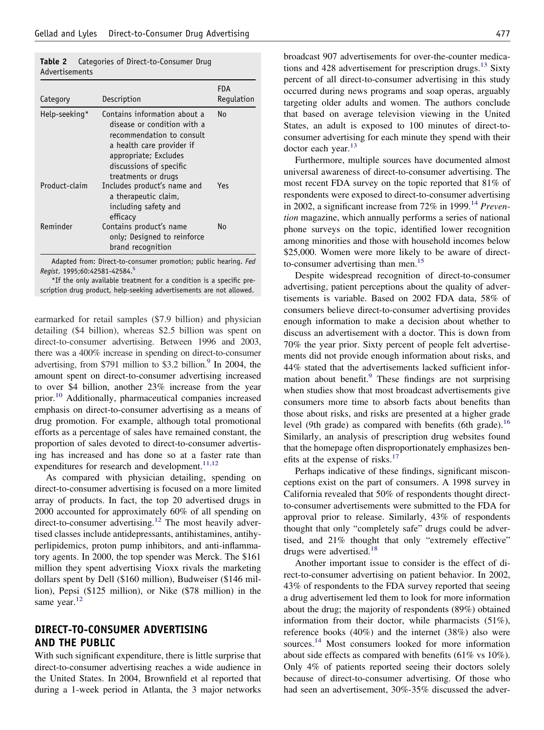<span id="page-2-0"></span>

|                |  | <b>Table 2</b> Categories of Direct-to-Consumer Drug |  |
|----------------|--|------------------------------------------------------|--|
| Advertisements |  |                                                      |  |

| Category      | Description                                                                                                                                                                                      | FDA<br>Regulation |
|---------------|--------------------------------------------------------------------------------------------------------------------------------------------------------------------------------------------------|-------------------|
| Help-seeking* | Contains information about a<br>disease or condition with a<br>recommendation to consult<br>a health care provider if<br>appropriate; Excludes<br>discussions of specific<br>treatments or drugs | No                |
| Product-claim | Includes product's name and<br>a therapeutic claim,<br>including safety and<br>efficacy                                                                                                          | Yes               |
| Reminder      | Contains product's name<br>only; Designed to reinforce<br>brand recognition                                                                                                                      | No                |

Adapted from: Direct-to-consumer promotion; public hearing. *Fed Regist*. 1995;60:42581-42584[.5](#page-4-0)

\*If the only available treatment for a condition is a specific prescription drug product, help-seeking advertisements are not allowed.

earmarked for retail samples (\$7.9 billion) and physician detailing (\$4 billion), whereas \$2.5 billion was spent on direct-to-consumer advertising. Between 1996 and 2003, there was a 400% increase in spending on direct-to-consumer advertising, from \$791 million to \$3.2 billion.<sup>9</sup> In 2004, the amount spent on direct-to-consumer advertising increased to over \$4 billion, another 23% increase from the year prior.[10](#page-4-0) Additionally, pharmaceutical companies increased emphasis on direct-to-consumer advertising as a means of drug promotion. For example, although total promotional efforts as a percentage of sales have remained constant, the proportion of sales devoted to direct-to-consumer advertising has increased and has done so at a faster rate than expenditures for research and development.<sup>[11,12](#page-4-0)</sup>

As compared with physician detailing, spending on direct-to-consumer advertising is focused on a more limited array of products. In fact, the top 20 advertised drugs in 2000 accounted for approximately 60% of all spending on direct-to-consumer advertising.<sup>[12](#page-4-0)</sup> The most heavily advertised classes include antidepressants, antihistamines, antihyperlipidemics, proton pump inhibitors, and anti-inflammatory agents. In 2000, the top spender was Merck. The \$161 million they spent advertising Vioxx rivals the marketing dollars spent by Dell (\$160 million), Budweiser (\$146 million), Pepsi (\$125 million), or Nike (\$78 million) in the same year.<sup>[12](#page-4-0)</sup>

## **DIRECT-TO-CONSUMER ADVERTISING AND THE PUBLIC**

With such significant expenditure, there is little surprise that direct-to-consumer advertising reaches a wide audience in the United States. In 2004, Brownfield et al reported that during a 1-week period in Atlanta, the 3 major networks

broadcast 907 advertisements for over-the-counter medications and 428 advertisement for prescription drugs. $^{13}$  $^{13}$  $^{13}$  Sixty percent of all direct-to-consumer advertising in this study occurred during news programs and soap operas, arguably targeting older adults and women. The authors conclude that based on average television viewing in the United States, an adult is exposed to 100 minutes of direct-toconsumer advertising for each minute they spend with their doctor each year.<sup>[13](#page-4-0)</sup>

Furthermore, multiple sources have documented almost universal awareness of direct-to-consumer advertising. The most recent FDA survey on the topic reported that 81% of respondents were exposed to direct-to-consumer advertising in 2002, a significant increase from 72% in 1999.<sup>[14](#page-4-0)</sup> *Prevention* magazine, which annually performs a series of national phone surveys on the topic, identified lower recognition among minorities and those with household incomes below \$25,000. Women were more likely to be aware of direct-to-consumer advertising than men.<sup>[15](#page-4-0)</sup>

Despite widespread recognition of direct-to-consumer advertising, patient perceptions about the quality of advertisements is variable. Based on 2002 FDA data, 58% of consumers believe direct-to-consumer advertising provides enough information to make a decision about whether to discuss an advertisement with a doctor. This is down from 70% the year prior. Sixty percent of people felt advertisements did not provide enough information about risks, and 44% stated that the advertisements lacked sufficient infor-mation about benefit.<sup>[9](#page-4-0)</sup> These findings are not surprising when studies show that most broadcast advertisements give consumers more time to absorb facts about benefits than those about risks, and risks are presented at a higher grade level (9th grade) as compared with benefits (6th grade).<sup>[16](#page-4-0)</sup> Similarly, an analysis of prescription drug websites found that the homepage often disproportionately emphasizes ben-efits at the expense of risks.<sup>[17](#page-4-0)</sup>

Perhaps indicative of these findings, significant misconceptions exist on the part of consumers. A 1998 survey in California revealed that 50% of respondents thought directto-consumer advertisements were submitted to the FDA for approval prior to release. Similarly, 43% of respondents thought that only "completely safe" drugs could be advertised, and 21% thought that only "extremely effective" drugs were advertised.<sup>[18](#page-5-0)</sup>

Another important issue to consider is the effect of direct-to-consumer advertising on patient behavior. In 2002, 43% of respondents to the FDA survey reported that seeing a drug advertisement led them to look for more information about the drug; the majority of respondents (89%) obtained information from their doctor, while pharmacists (51%), reference books (40%) and the internet (38%) also were sources.<sup>[14](#page-4-0)</sup> Most consumers looked for more information about side effects as compared with benefits (61% vs 10%). Only 4% of patients reported seeing their doctors solely because of direct-to-consumer advertising. Of those who had seen an advertisement, 30%-35% discussed the adver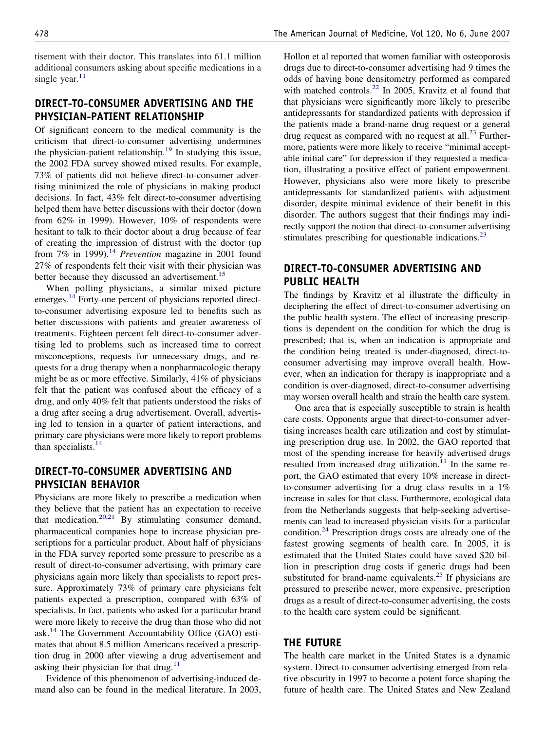tisement with their doctor. This translates into 61.1 million additional consumers asking about specific medications in a single year. $11$ 

# **DIRECT-TO-CONSUMER ADVERTISING AND THE PHYSICIAN-PATIENT RELATIONSHIP**

Of significant concern to the medical community is the criticism that direct-to-consumer advertising undermines the physician-patient relationship.<sup>[19](#page-5-0)</sup> In studying this issue, the 2002 FDA survey showed mixed results. For example, 73% of patients did not believe direct-to-consumer advertising minimized the role of physicians in making product decisions. In fact, 43% felt direct-to-consumer advertising helped them have better discussions with their doctor (down from 62% in 1999). However, 10% of respondents were hesitant to talk to their doctor about a drug because of fear of creating the impression of distrust with the doctor (up from 7% in 1999).<sup>[14](#page-4-0)</sup> *Prevention* magazine in 2001 found 27% of respondents felt their visit with their physician was better because they discussed an advertisement.<sup>[15](#page-4-0)</sup>

When polling physicians, a similar mixed picture emerges.<sup>[14](#page-4-0)</sup> Forty-one percent of physicians reported directto-consumer advertising exposure led to benefits such as better discussions with patients and greater awareness of treatments. Eighteen percent felt direct-to-consumer advertising led to problems such as increased time to correct misconceptions, requests for unnecessary drugs, and requests for a drug therapy when a nonpharmacologic therapy might be as or more effective. Similarly, 41% of physicians felt that the patient was confused about the efficacy of a drug, and only 40% felt that patients understood the risks of a drug after seeing a drug advertisement. Overall, advertising led to tension in a quarter of patient interactions, and primary care physicians were more likely to report problems than specialists. $14$ 

# **DIRECT-TO-CONSUMER ADVERTISING AND PHYSICIAN BEHAVIOR**

Physicians are more likely to prescribe a medication when they believe that the patient has an expectation to receive that medication. $20,21$  By stimulating consumer demand, pharmaceutical companies hope to increase physician prescriptions for a particular product. About half of physicians in the FDA survey reported some pressure to prescribe as a result of direct-to-consumer advertising, with primary care physicians again more likely than specialists to report pressure. Approximately 73% of primary care physicians felt patients expected a prescription, compared with 63% of specialists. In fact, patients who asked for a particular brand were more likely to receive the drug than those who did not ask.<sup>[14](#page-4-0)</sup> The Government Accountability Office (GAO) estimates that about 8.5 million Americans received a prescription drug in 2000 after viewing a drug advertisement and asking their physician for that drug. $11$ 

Evidence of this phenomenon of advertising-induced demand also can be found in the medical literature. In 2003,

Hollon et al reported that women familiar with osteoporosis drugs due to direct-to-consumer advertising had 9 times the odds of having bone densitometry performed as compared with matched controls.<sup>[22](#page-5-0)</sup> In 2005, Kravitz et al found that that physicians were significantly more likely to prescribe antidepressants for standardized patients with depression if the patients made a brand-name drug request or a general drug request as compared with no request at all.<sup>[23](#page-5-0)</sup> Furthermore, patients were more likely to receive "minimal acceptable initial care" for depression if they requested a medication, illustrating a positive effect of patient empowerment. However, physicians also were more likely to prescribe antidepressants for standardized patients with adjustment disorder, despite minimal evidence of their benefit in this disorder. The authors suggest that their findings may indirectly support the notion that direct-to-consumer advertising stimulates prescribing for questionable indications.<sup>[23](#page-5-0)</sup>

# **DIRECT-TO-CONSUMER ADVERTISING AND PUBLIC HEALTH**

The findings by Kravitz et al illustrate the difficulty in deciphering the effect of direct-to-consumer advertising on the public health system. The effect of increasing prescriptions is dependent on the condition for which the drug is prescribed; that is, when an indication is appropriate and the condition being treated is under-diagnosed, direct-toconsumer advertising may improve overall health. However, when an indication for therapy is inappropriate and a condition is over-diagnosed, direct-to-consumer advertising may worsen overall health and strain the health care system.

One area that is especially susceptible to strain is health care costs. Opponents argue that direct-to-consumer advertising increases health care utilization and cost by stimulating prescription drug use. In 2002, the GAO reported that most of the spending increase for heavily advertised drugs resulted from increased drug utilization.<sup>[11](#page-4-0)</sup> In the same report, the GAO estimated that every 10% increase in directto-consumer advertising for a drug class results in a 1% increase in sales for that class. Furthermore, ecological data from the Netherlands suggests that help-seeking advertisements can lead to increased physician visits for a particular condition.[24](#page-5-0) Prescription drugs costs are already one of the fastest growing segments of health care. In 2005, it is estimated that the United States could have saved \$20 billion in prescription drug costs if generic drugs had been substituted for brand-name equivalents.<sup>[25](#page-5-0)</sup> If physicians are pressured to prescribe newer, more expensive, prescription drugs as a result of direct-to-consumer advertising, the costs to the health care system could be significant.

### **THE FUTURE**

The health care market in the United States is a dynamic system. Direct-to-consumer advertising emerged from relative obscurity in 1997 to become a potent force shaping the future of health care. The United States and New Zealand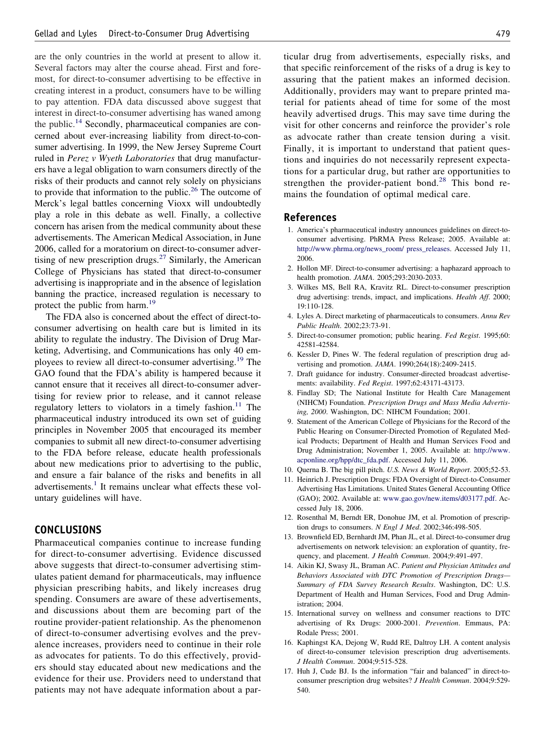<span id="page-4-0"></span>are the only countries in the world at present to allow it. Several factors may alter the course ahead. First and foremost, for direct-to-consumer advertising to be effective in creating interest in a product, consumers have to be willing to pay attention. FDA data discussed above suggest that interest in direct-to-consumer advertising has waned among the public.<sup>14</sup> Secondly, pharmaceutical companies are concerned about ever-increasing liability from direct-to-consumer advertising. In 1999, the New Jersey Supreme Court ruled in *Perez v Wyeth Laboratories* that drug manufacturers have a legal obligation to warn consumers directly of the risks of their products and cannot rely solely on physicians to provide that information to the public.<sup>[26](#page-5-0)</sup> The outcome of Merck's legal battles concerning Vioxx will undoubtedly play a role in this debate as well. Finally, a collective concern has arisen from the medical community about these advertisements. The American Medical Association, in June 2006, called for a moratorium on direct-to-consumer adver-tising of new prescription drugs.<sup>[27](#page-5-0)</sup> Similarly, the American College of Physicians has stated that direct-to-consumer advertising is inappropriate and in the absence of legislation banning the practice, increased regulation is necessary to protect the public from harm.<sup>[19](#page-5-0)</sup>

The FDA also is concerned about the effect of direct-toconsumer advertising on health care but is limited in its ability to regulate the industry. The Division of Drug Marketing, Advertising, and Communications has only 40 em-ployees to review all direct-to-consumer advertising.<sup>[19](#page-5-0)</sup> The GAO found that the FDA's ability is hampered because it cannot ensure that it receives all direct-to-consumer advertising for review prior to release, and it cannot release regulatory letters to violators in a timely fashion.<sup>11</sup> The pharmaceutical industry introduced its own set of guiding principles in November 2005 that encouraged its member companies to submit all new direct-to-consumer advertising to the FDA before release, educate health professionals about new medications prior to advertising to the public, and ensure a fair balance of the risks and benefits in all advertisements.<sup>1</sup> It remains unclear what effects these voluntary guidelines will have.

#### **CONCLUSIONS**

Pharmaceutical companies continue to increase funding for direct-to-consumer advertising. Evidence discussed above suggests that direct-to-consumer advertising stimulates patient demand for pharmaceuticals, may influence physician prescribing habits, and likely increases drug spending. Consumers are aware of these advertisements, and discussions about them are becoming part of the routine provider-patient relationship. As the phenomenon of direct-to-consumer advertising evolves and the prevalence increases, providers need to continue in their role as advocates for patients. To do this effectively, providers should stay educated about new medications and the evidence for their use. Providers need to understand that patients may not have adequate information about a par-

ticular drug from advertisements, especially risks, and that specific reinforcement of the risks of a drug is key to assuring that the patient makes an informed decision. Additionally, providers may want to prepare printed material for patients ahead of time for some of the most heavily advertised drugs. This may save time during the visit for other concerns and reinforce the provider's role as advocate rather than create tension during a visit. Finally, it is important to understand that patient questions and inquiries do not necessarily represent expectations for a particular drug, but rather are opportunities to strengthen the provider-patient bond.<sup>[28](#page-5-0)</sup> This bond remains the foundation of optimal medical care.

#### **References**

- 1. America's pharmaceutical industry announces guidelines on direct-toconsumer advertising. PhRMA Press Release; 2005. Available at: [http://www.phrma.org/news\\_room/ press\\_releases.](http://www.phrma.org/news_room/%20press_releases) Accessed July 11, 2006.
- 2. Hollon MF. Direct-to-consumer advertising: a haphazard approach to health promotion. *JAMA*. 2005;293:2030-2033.
- 3. Wilkes MS, Bell RA, Kravitz RL. Direct-to-consumer prescription drug advertising: trends, impact, and implications. *Health Aff*. 2000; 19:110-128.
- 4. Lyles A. Direct marketing of pharmaceuticals to consumers. *Annu Rev Public Health*. 2002;23:73-91.
- 5. Direct-to-consumer promotion; public hearing. *Fed Regist*. 1995;60: 42581-42584.
- 6. Kessler D, Pines W. The federal regulation of prescription drug advertising and promotion. *JAMA*. 1990;264(18):2409-2415.
- 7. Draft guidance for industry. Consumer-directed broadcast advertisements: availability. *Fed Regist*. 1997;62:43171-43173.
- 8. Findlay SD; The National Institute for Health Care Management (NIHCM) Foundation. *Prescription Drugs and Mass Media Advertising, 2000*. Washington, DC: NIHCM Foundation; 2001.
- 9. Statement of the American College of Physicians for the Record of the Public Hearing on Consumer-Directed Promotion of Regulated Medical Products; Department of Health and Human Services Food and Drug Administration; November 1, 2005. Available at: [http://www.](http://www.acponline.org/hpp/dtc_fda.pdf) [acponline.org/hpp/dtc\\_fda.pdf.](http://www.acponline.org/hpp/dtc_fda.pdf) Accessed July 11, 2006.
- 10. Querna B. The big pill pitch. *U.S. News & World Report*. 2005;52-53.
- 11. Heinrich J. Prescription Drugs: FDA Oversight of Direct-to-Consumer Advertising Has Limitations. United States General Accounting Office (GAO); 2002. Available at: [www.gao.gov/new.items/d03177.pdf.](http://www.gao.gov/new.items/d03177.pdf) Accessed July 18, 2006.
- 12. Rosenthal M, Berndt ER, Donohue JM, et al. Promotion of prescription drugs to consumers. *N Engl J Med*. 2002;346:498-505.
- 13. Brownfield ED, Bernhardt JM, Phan JL, et al. Direct-to-consumer drug advertisements on network television: an exploration of quantity, frequency, and placement. *J Health Commun*. 2004;9:491-497.
- 14. Aikin KJ, Swasy JL, Braman AC. *Patient and Physician Attitudes and Behaviors Associated with DTC Promotion of Prescription Drugs— Summary of FDA Survey Research Results*. Washington, DC: U.S. Department of Health and Human Services, Food and Drug Administration; 2004.
- 15. International survey on wellness and consumer reactions to DTC advertising of Rx Drugs: 2000-2001. *Prevention*. Emmaus, PA: Rodale Press; 2001.
- 16. Kaphingst KA, Dejong W, Rudd RE, Daltroy LH. A content analysis of direct-to-consumer television prescription drug advertisements. *J Health Commun*. 2004;9:515-528.
- 17. Huh J, Cude BJ. Is the information "fair and balanced" in direct-toconsumer prescription drug websites? *J Health Commun*. 2004;9:529- 540.